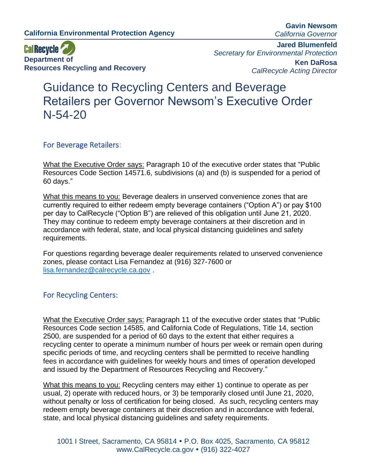**Gavin Newsom** *California Governor*



**Jared Blumenfeld** *Secretary for Environmental Protection* **Ken DaRosa** *CalRecycle Acting Director*

## Guidance to Recycling Centers and Beverage Retailers per Governor Newsom's Executive Order [N-54-20](https://www.gov.ca.gov/wp-content/uploads/2020/04/N-54-20-COVID-19-text-4.22.20.pdf)

## For Beverage Retailers:

What the Executive Order says: Paragraph 10 of the executive order states that "Public Resources Code Section 14571.6, subdivisions (a) and (b) is suspended for a period of 60 days."

What this means to you: Beverage dealers in unserved convenience zones that are currently required to either redeem empty beverage containers ("Option A") or pay \$100 per day to CalRecycle ("Option B") are relieved of this obligation until June 21, 2020. They may continue to redeem empty beverage containers at their discretion and in accordance with federal, state, and local physical distancing guidelines and safety requirements.

For questions regarding beverage dealer requirements related to unserved convenience zones, please contact Lisa Fernandez at (916) 327-7600 or [lisa.fernandez@calrecycle.ca.gov](mailto:lisa.fernandez@calrecycle.ca.gov) .

## For Recycling Centers:

What the Executive Order says: Paragraph 11 of the executive order states that "Public Resources Code section 14585, and California Code of Regulations, Title 14, section 2500, are suspended for a period of 60 days to the extent that either requires a recycling center to operate a minimum number of hours per week or remain open during specific periods of time, and recycling centers shall be permitted to receive handling fees in accordance with guidelines for weekly hours and times of operation developed and issued by the Department of Resources Recycling and Recovery."

What this means to you: Recycling centers may either 1) continue to operate as per usual, 2) operate with reduced hours, or 3) be temporarily closed until June 21, 2020, without penalty or loss of certification for being closed. As such, recycling centers may redeem empty beverage containers at their discretion and in accordance with federal, state, and local physical distancing guidelines and safety requirements.